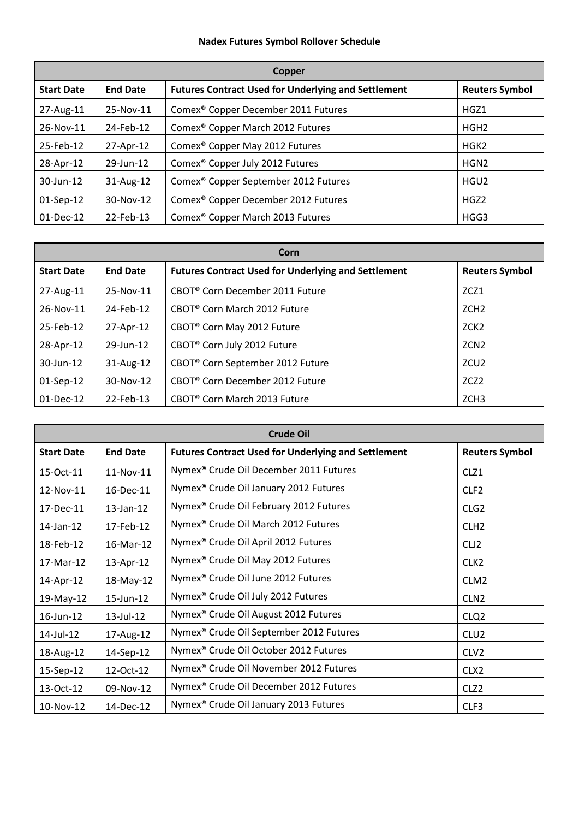## **Nadex Futures Symbol Rollover Schedule**

| Copper            |                 |                                                            |                       |
|-------------------|-----------------|------------------------------------------------------------|-----------------------|
| <b>Start Date</b> | <b>End Date</b> | <b>Futures Contract Used for Underlying and Settlement</b> | <b>Reuters Symbol</b> |
| 27-Aug-11         | 25-Nov-11       | Comex <sup>®</sup> Copper December 2011 Futures            | HGZ1                  |
| 26-Nov-11         | 24-Feb-12       | Comex <sup>®</sup> Copper March 2012 Futures               | HGH <sub>2</sub>      |
| 25-Feb-12         | 27-Apr-12       | Comex <sup>®</sup> Copper May 2012 Futures                 | HGK <sub>2</sub>      |
| 28-Apr-12         | 29-Jun-12       | Comex <sup>®</sup> Copper July 2012 Futures                | HGN <sub>2</sub>      |
| 30-Jun-12         | $31$ -Aug-12    | Comex <sup>®</sup> Copper September 2012 Futures           | HGU <sub>2</sub>      |
| 01-Sep-12         | 30-Nov-12       | Comex <sup>®</sup> Copper December 2012 Futures            | HGZ <sub>2</sub>      |
| 01-Dec-12         | 22-Feb-13       | Comex <sup>®</sup> Copper March 2013 Futures               | HGG3                  |

| Corn              |                 |                                                            |                       |
|-------------------|-----------------|------------------------------------------------------------|-----------------------|
| <b>Start Date</b> | <b>End Date</b> | <b>Futures Contract Used for Underlying and Settlement</b> | <b>Reuters Symbol</b> |
| 27-Aug-11         | 25-Nov-11       | CBOT <sup>®</sup> Corn December 2011 Future                | ZCZ1                  |
| 26-Nov-11         | 24-Feb-12       | CBOT <sup>®</sup> Corn March 2012 Future                   | ZCH <sub>2</sub>      |
| 25-Feb-12         | 27-Apr-12       | CBOT <sup>®</sup> Corn May 2012 Future                     | ZCK <sub>2</sub>      |
| 28-Apr-12         | 29-Jun-12       | CBOT <sup>®</sup> Corn July 2012 Future                    | ZCN <sub>2</sub>      |
| 30-Jun-12         | $31$ -Aug-12    | CBOT <sup>®</sup> Corn September 2012 Future               | ZCU <sub>2</sub>      |
| $01-Sep-12$       | 30-Nov-12       | CBOT <sup>®</sup> Corn December 2012 Future                | ZCZ <sub>2</sub>      |
| 01-Dec-12         | 22-Feb-13       | CBOT <sup>®</sup> Corn March 2013 Future                   | ZCH <sub>3</sub>      |

| <b>Crude Oil</b>  |                 |                                                            |                       |
|-------------------|-----------------|------------------------------------------------------------|-----------------------|
| <b>Start Date</b> | <b>End Date</b> | <b>Futures Contract Used for Underlying and Settlement</b> | <b>Reuters Symbol</b> |
| 15-Oct-11         | 11-Nov-11       | Nymex® Crude Oil December 2011 Futures                     | CLZ1                  |
| 12-Nov-11         | 16-Dec-11       | Nymex <sup>®</sup> Crude Oil January 2012 Futures          | CLF <sub>2</sub>      |
| 17-Dec-11         | $13$ -Jan- $12$ | Nymex <sup>®</sup> Crude Oil February 2012 Futures         | CLG <sub>2</sub>      |
| 14-Jan-12         | 17-Feb-12       | Nymex <sup>®</sup> Crude Oil March 2012 Futures            | CLH <sub>2</sub>      |
| 18-Feb-12         | 16-Mar-12       | Nymex <sup>®</sup> Crude Oil April 2012 Futures            | CLJ <sub>2</sub>      |
| 17-Mar-12         | 13-Apr-12       | Nymex® Crude Oil May 2012 Futures                          | CLK <sub>2</sub>      |
| 14-Apr-12         | 18-May-12       | Nymex <sup>®</sup> Crude Oil June 2012 Futures             | CLM <sub>2</sub>      |
| 19-May-12         | 15-Jun-12       | Nymex <sup>®</sup> Crude Oil July 2012 Futures             | CLN <sub>2</sub>      |
| 16-Jun-12         | 13-Jul-12       | Nymex <sup>®</sup> Crude Oil August 2012 Futures           | CLQ <sub>2</sub>      |
| 14-Jul-12         | 17-Aug-12       | Nymex® Crude Oil September 2012 Futures                    | CLU <sub>2</sub>      |
| 18-Aug-12         | 14-Sep-12       | Nymex <sup>®</sup> Crude Oil October 2012 Futures          | CLV <sub>2</sub>      |
| 15-Sep-12         | 12-Oct-12       | Nymex <sup>®</sup> Crude Oil November 2012 Futures         | CLX <sub>2</sub>      |
| 13-Oct-12         | 09-Nov-12       | Nymex <sup>®</sup> Crude Oil December 2012 Futures         | CLZ <sub>2</sub>      |
| 10-Nov-12         | $14-Dec-12$     | Nymex <sup>®</sup> Crude Oil January 2013 Futures          | CLF3                  |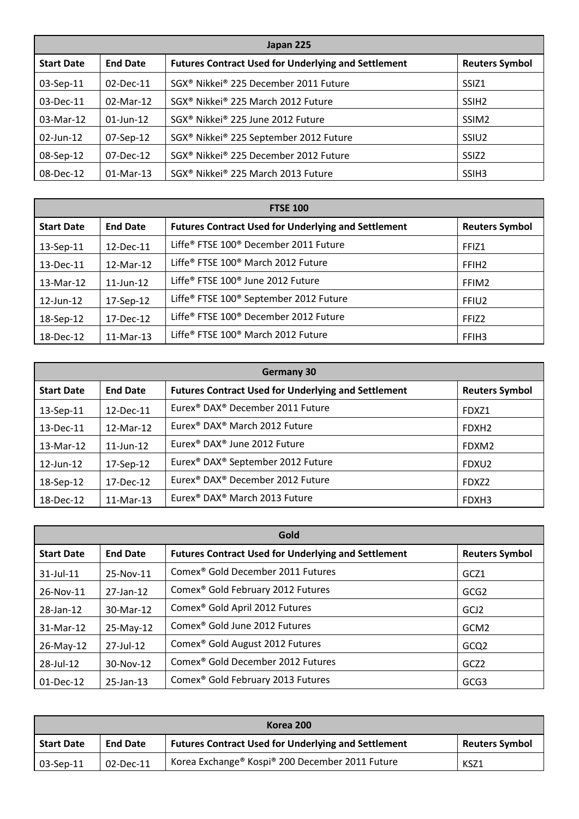| Japan 225         |                 |                                                            |                       |
|-------------------|-----------------|------------------------------------------------------------|-----------------------|
| <b>Start Date</b> | <b>End Date</b> | <b>Futures Contract Used for Underlying and Settlement</b> | <b>Reuters Symbol</b> |
| 03-Sep-11         | 02-Dec-11       | SGX <sup>®</sup> Nikkei® 225 December 2011 Future          | SSIZ <sub>1</sub>     |
| 03-Dec-11         | $02$ -Mar-12    | SGX <sup>®</sup> Nikkei® 225 March 2012 Future             | SSIH <sub>2</sub>     |
| 03-Mar-12         | $01$ -Jun-12    | SGX <sup>®</sup> Nikkei® 225 June 2012 Future              | SSIM <sub>2</sub>     |
| $02$ -Jun-12      | $07-Sep-12$     | SGX <sup>®</sup> Nikkei® 225 September 2012 Future         | SSIU <sub>2</sub>     |
| 08-Sep-12         | $07$ -Dec-12    | SGX <sup>®</sup> Nikkei® 225 December 2012 Future          | SSIZ <sub>2</sub>     |
| 08-Dec-12         | $01$ -Mar-13    | SGX <sup>®</sup> Nikkei® 225 March 2013 Future             | SSIH <sub>3</sub>     |

| <b>FTSE 100</b>   |                 |                                                            |                       |
|-------------------|-----------------|------------------------------------------------------------|-----------------------|
| <b>Start Date</b> | <b>End Date</b> | <b>Futures Contract Used for Underlying and Settlement</b> | <b>Reuters Symbol</b> |
| 13-Sep-11         | 12-Dec-11       | Liffe® FTSE 100® December 2011 Future                      | FFIZ1                 |
| 13-Dec-11         | 12-Mar-12       | Liffe® FTSE 100® March 2012 Future                         | FFIH <sub>2</sub>     |
| 13-Mar-12         | $11$ -Jun- $12$ | Liffe® FTSE 100® June 2012 Future                          | FFIM2                 |
| $12$ -Jun- $12$   | 17-Sep-12       | Liffe® FTSE 100® September 2012 Future                     | FFIU <sub>2</sub>     |
| 18-Sep-12         | 17-Dec-12       | Liffe® FTSE 100® December 2012 Future                      | FFIZ <sub>2</sub>     |
| 18-Dec-12         | 11-Mar-13       | Liffe® FTSE 100® March 2012 Future                         | FFIH <sub>3</sub>     |

| <b>Germany 30</b> |                 |                                                            |                       |
|-------------------|-----------------|------------------------------------------------------------|-----------------------|
| <b>Start Date</b> | <b>End Date</b> | <b>Futures Contract Used for Underlying and Settlement</b> | <b>Reuters Symbol</b> |
| 13-Sep-11         | 12-Dec-11       | Eurex <sup>®</sup> DAX <sup>®</sup> December 2011 Future   | FDXZ1                 |
| 13-Dec-11         | 12-Mar-12       | Eurex <sup>®</sup> DAX <sup>®</sup> March 2012 Future      | FDXH <sub>2</sub>     |
| 13-Mar-12         | $11$ -Jun- $12$ | Eurex <sup>®</sup> DAX <sup>®</sup> June 2012 Future       | FDXM2                 |
| 12-Jun-12         | 17-Sep-12       | Eurex® DAX® September 2012 Future                          | FDXU2                 |
| 18-Sep-12         | 17-Dec-12       | Eurex <sup>®</sup> DAX <sup>®</sup> December 2012 Future   | FDXZ <sub>2</sub>     |
| 18-Dec-12         | 11-Mar-13       | Eurex <sup>®</sup> DAX <sup>®</sup> March 2013 Future      | FDXH3                 |

| Gold              |                 |                                                            |                       |
|-------------------|-----------------|------------------------------------------------------------|-----------------------|
| <b>Start Date</b> | <b>End Date</b> | <b>Futures Contract Used for Underlying and Settlement</b> | <b>Reuters Symbol</b> |
| $31$ -Jul-11      | 25-Nov-11       | Comex <sup>®</sup> Gold December 2011 Futures              | GCZ1                  |
| 26-Nov-11         | 27-Jan-12       | Comex <sup>®</sup> Gold February 2012 Futures              | GCG <sub>2</sub>      |
| 28-Jan-12         | 30-Mar-12       | Comex <sup>®</sup> Gold April 2012 Futures                 | GCJ <sub>2</sub>      |
| 31-Mar-12         | 25-May-12       | Comex <sup>®</sup> Gold June 2012 Futures                  | GCM <sub>2</sub>      |
| 26-May-12         | 27-Jul-12       | Comex <sup>®</sup> Gold August 2012 Futures                | GCQ <sub>2</sub>      |
| 28-Jul-12         | 30-Nov-12       | Comex <sup>®</sup> Gold December 2012 Futures              | GCZ <sub>2</sub>      |
| 01-Dec-12         | 25-Jan-13       | Comex <sup>®</sup> Gold February 2013 Futures              | GCG3                  |

| Korea 200         |                 |                                                            |                       |  |
|-------------------|-----------------|------------------------------------------------------------|-----------------------|--|
| <b>Start Date</b> | <b>End Date</b> | <b>Futures Contract Used for Underlying and Settlement</b> | <b>Reuters Symbol</b> |  |
| $\mid$ 03-Sep-11  | $02$ -Dec-11    | Korea Exchange® Kospi® 200 December 2011 Future            | KSZ1                  |  |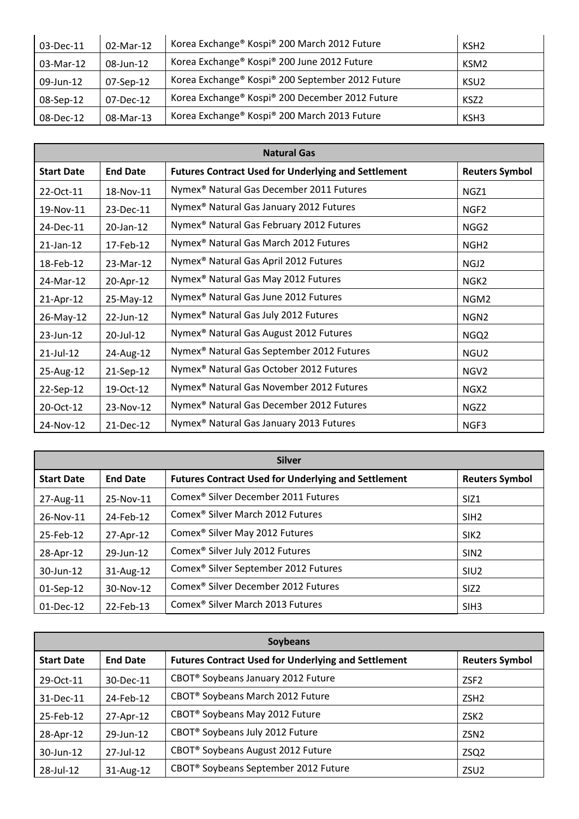| 03-Dec-11 | 02-Mar-12 | Korea Exchange® Kospi® 200 March 2012 Future     | KSH <sub>2</sub> |
|-----------|-----------|--------------------------------------------------|------------------|
| 03-Mar-12 | 08-Jun-12 | Korea Exchange® Kospi® 200 June 2012 Future      | KSM <sub>2</sub> |
| 09-Jun-12 | 07-Sep-12 | Korea Exchange® Kospi® 200 September 2012 Future | KSU <sub>2</sub> |
| 08-Sep-12 | 07-Dec-12 | Korea Exchange® Kospi® 200 December 2012 Future  | KSZ2             |
| 08-Dec-12 | 08-Mar-13 | Korea Exchange® Kospi® 200 March 2013 Future     | KSH3             |

| <b>Natural Gas</b> |                 |                                                            |                       |
|--------------------|-----------------|------------------------------------------------------------|-----------------------|
| <b>Start Date</b>  | <b>End Date</b> | <b>Futures Contract Used for Underlying and Settlement</b> | <b>Reuters Symbol</b> |
| 22-Oct-11          | 18-Nov-11       | Nymex <sup>®</sup> Natural Gas December 2011 Futures       | NGZ1                  |
| 19-Nov-11          | 23-Dec-11       | Nymex <sup>®</sup> Natural Gas January 2012 Futures        | NGF <sub>2</sub>      |
| 24-Dec-11          | 20-Jan-12       | Nymex <sup>®</sup> Natural Gas February 2012 Futures       | NGG <sub>2</sub>      |
| $21$ -Jan-12       | 17-Feb-12       | Nymex <sup>®</sup> Natural Gas March 2012 Futures          | NGH <sub>2</sub>      |
| 18-Feb-12          | 23-Mar-12       | Nymex <sup>®</sup> Natural Gas April 2012 Futures          | NGJ2                  |
| 24-Mar-12          | 20-Apr-12       | Nymex <sup>®</sup> Natural Gas May 2012 Futures            | NGK <sub>2</sub>      |
| 21-Apr-12          | 25-May-12       | Nymex <sup>®</sup> Natural Gas June 2012 Futures           | NGM <sub>2</sub>      |
| 26-May-12          | 22-Jun-12       | Nymex <sup>®</sup> Natural Gas July 2012 Futures           | NGN <sub>2</sub>      |
| $23$ -Jun-12       | 20-Jul-12       | Nymex <sup>®</sup> Natural Gas August 2012 Futures         | NGQ <sub>2</sub>      |
| $21$ -Jul-12       | 24-Aug-12       | Nymex <sup>®</sup> Natural Gas September 2012 Futures      | NGU <sub>2</sub>      |
| 25-Aug-12          | 21-Sep-12       | Nymex <sup>®</sup> Natural Gas October 2012 Futures        | NGV <sub>2</sub>      |
| 22-Sep-12          | 19-Oct-12       | Nymex <sup>®</sup> Natural Gas November 2012 Futures       | NGX <sub>2</sub>      |
| 20-Oct-12          | 23-Nov-12       | Nymex <sup>®</sup> Natural Gas December 2012 Futures       | NGZ <sub>2</sub>      |
| 24-Nov-12          | 21-Dec-12       | Nymex <sup>®</sup> Natural Gas January 2013 Futures        | NGF3                  |

| <b>Silver</b>     |                 |                                                            |                       |
|-------------------|-----------------|------------------------------------------------------------|-----------------------|
| <b>Start Date</b> | <b>End Date</b> | <b>Futures Contract Used for Underlying and Settlement</b> | <b>Reuters Symbol</b> |
| 27-Aug-11         | 25-Nov-11       | Comex <sup>®</sup> Silver December 2011 Futures            | SIZ <sub>1</sub>      |
| 26-Nov-11         | 24-Feb-12       | Comex <sup>®</sup> Silver March 2012 Futures               | SIH <sub>2</sub>      |
| 25-Feb-12         | 27-Apr-12       | Comex <sup>®</sup> Silver May 2012 Futures                 | SIK <sub>2</sub>      |
| 28-Apr-12         | 29-Jun-12       | Comex <sup>®</sup> Silver July 2012 Futures                | SIN <sub>2</sub>      |
| 30-Jun-12         | 31-Aug-12       | Comex <sup>®</sup> Silver September 2012 Futures           | SIU <sub>2</sub>      |
| 01-Sep-12         | 30-Nov-12       | Comex <sup>®</sup> Silver December 2012 Futures            | SIZ <sub>2</sub>      |
| 01-Dec-12         | 22-Feb-13       | Comex <sup>®</sup> Silver March 2013 Futures               | SIH <sub>3</sub>      |

| <b>Soybeans</b>   |                 |                                                            |                       |
|-------------------|-----------------|------------------------------------------------------------|-----------------------|
| <b>Start Date</b> | <b>End Date</b> | <b>Futures Contract Used for Underlying and Settlement</b> | <b>Reuters Symbol</b> |
| 29-Oct-11         | 30-Dec-11       | CBOT <sup>®</sup> Soybeans January 2012 Future             | ZSF <sub>2</sub>      |
| 31-Dec-11         | 24-Feb-12       | CBOT <sup>®</sup> Soybeans March 2012 Future               | ZSH <sub>2</sub>      |
| 25-Feb-12         | 27-Apr-12       | CBOT <sup>®</sup> Soybeans May 2012 Future                 | ZSK <sub>2</sub>      |
| 28-Apr-12         | 29-Jun-12       | CBOT <sup>®</sup> Soybeans July 2012 Future                | ZSN <sub>2</sub>      |
| 30-Jun-12         | 27-Jul-12       | CBOT <sup>®</sup> Soybeans August 2012 Future              | ZSQ <sub>2</sub>      |
| 28-Jul-12         | 31-Aug-12       | CBOT <sup>®</sup> Soybeans September 2012 Future           | ZSU <sub>2</sub>      |